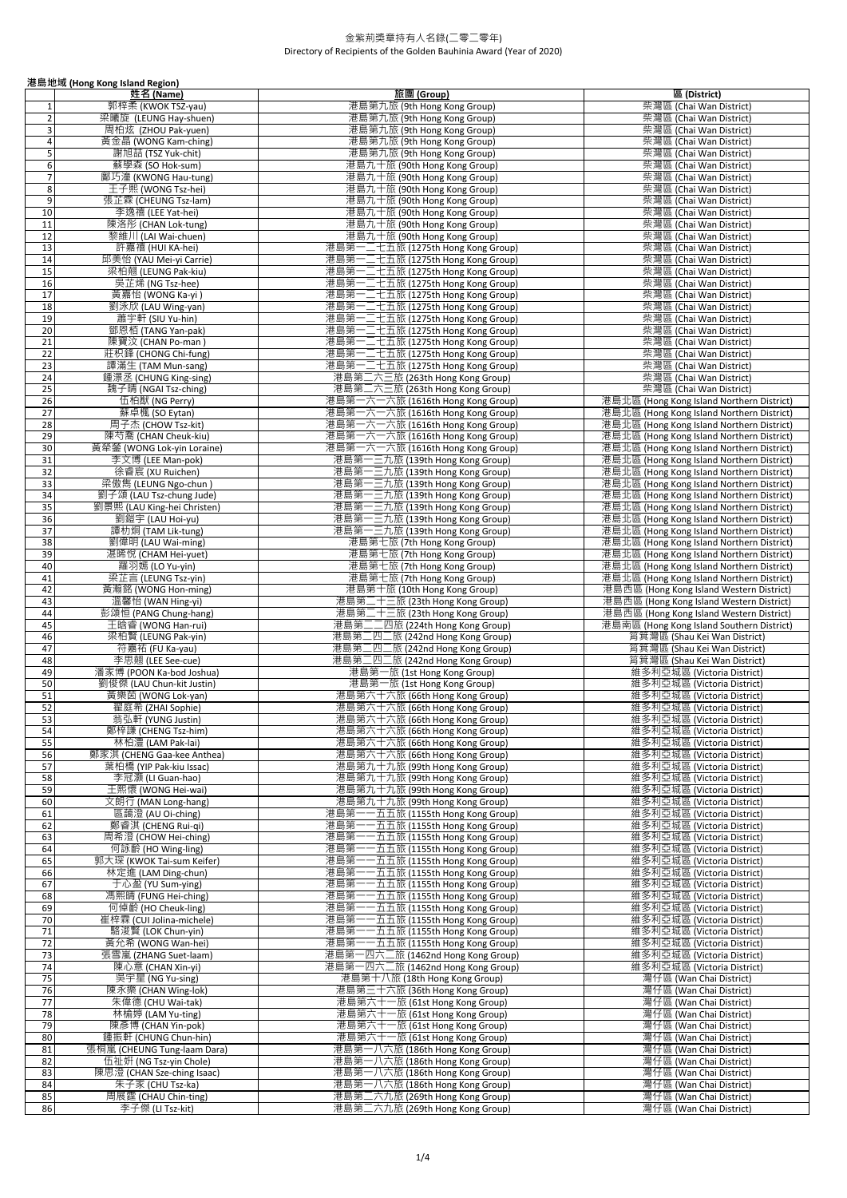|                                           | 港島地域 (Hong Kong Island Region)                          |                                                                        |                                                                                        |
|-------------------------------------------|---------------------------------------------------------|------------------------------------------------------------------------|----------------------------------------------------------------------------------------|
|                                           | 姓名 (Name)                                               | 旅團 (Group)                                                             | 區 (District)                                                                           |
| 1                                         | 郭梓柔 (KWOK TSZ-yau)                                      | 港島第九旅 (9th Hong Kong Group)                                            | 柴灣區 (Chai Wan District)                                                                |
| $\overline{2}$                            | 梁曦旋 (LEUNG Hay-shuen)                                   | 港島第九旅 (9th Hong Kong Group)                                            | 柴灣區 (Chai Wan District)                                                                |
| $\overline{\mathbf{3}}$<br>$\overline{4}$ | 周柏炫 (ZHOU Pak-yuen)<br>黃金晶 (WONG Kam-ching)             | 港島第九旅 (9th Hong Kong Group)<br>港島第九旅 (9th Hong Kong Group)             | 柴灣區 (Chai Wan District)<br>柴灣區 (Chai Wan District)                                     |
| $5\phantom{.0}$                           | 謝旭喆 (TSZ Yuk-chit)                                      | 港島第九旅 (9th Hong Kong Group)                                            | 柴灣區 (Chai Wan District)                                                                |
| 6                                         | 蘇學森 (SO Hok-sum)                                        | 港島九十旅 (90th Hong Kong Group)                                           | 柴灣區 (Chai Wan District)                                                                |
| $\overline{1}$                            | 鄺巧潼 (KWONG Hau-tung)                                    | 港島九十旅 (90th Hong Kong Group)                                           | 柴灣區 (Chai Wan District)                                                                |
| 8                                         | 王子熙 (WONG Tsz-hei)                                      | 港島九十旅 (90th Hong Kong Group)                                           | 柴灣區 (Chai Wan District)                                                                |
| 9                                         | 張芷霖 (CHEUNG Tsz-lam)                                    | 港島九十旅 (90th Hong Kong Group)                                           | 柴灣區 (Chai Wan District)                                                                |
| 10<br>11                                  | 李逸禧 (LEE Yat-hei)                                       | 港島九十旅 (90th Hong Kong Group)                                           | 柴灣區 (Chai Wan District)<br>柴灣區 (Chai Wan District)                                     |
| 12                                        | 陳洛彤 (CHAN Lok-tung)<br>黎維川 (LAI Wai-chuen)              | 港島九十旅 (90th Hong Kong Group)<br>港島九十旅 (90th Hong Kong Group)           | 柴灣區 (Chai Wan District)                                                                |
| 13                                        | 許嘉禧 (HUI KA-hei)                                        | 港島第一二七五旅 (1275th Hong Kong Group)                                      | 柴灣區 (Chai Wan District)                                                                |
| 14                                        | 邱美怡 (YAU Mei-yi Carrie)                                 | 港島第一二七五旅 (1275th Hong Kong Group)                                      | 柴灣區 (Chai Wan District)                                                                |
| 15                                        | 梁柏翹 (LEUNG Pak-kiu)                                     | 港島第一二七五旅 (1275th Hong Kong Group)                                      | 柴灣區 (Chai Wan District)                                                                |
| 16                                        | 吳芷烯 (NG Tsz-hee)                                        | 港島第一二七五旅 (1275th Hong Kong Group)                                      | 柴灣區 (Chai Wan District)                                                                |
| 17                                        | 黃嘉怡 (WONG Ka-yi )                                       | 港島第一二七五旅 (1275th Hong Kong Group)                                      | 柴灣區 (Chai Wan District)                                                                |
| 18<br>19                                  | 劉泳欣 (LAU Wing-yan)<br>蕭宇軒 (SIU Yu-hin)                  | 港島第一二七五旅 (1275th Hong Kong Group)<br>港島第一二七五旅 (1275th Hong Kong Group) | 柴灣區 (Chai Wan District)<br>柴灣區 (Chai Wan District)                                     |
| 20                                        | 鄧恩栢 (TANG Yan-pak)                                      | 港島第一二七五旅 (1275th Hong Kong Group)                                      | 柴灣區 (Chai Wan District)                                                                |
| 21                                        | 陳寶汶 (CHAN Po-man )                                      | 港島第一二七五旅 (1275th Hong Kong Group)                                      | 柴灣區 (Chai Wan District)                                                                |
| 22                                        | 莊枳鋒 (CHONG Chi-fung)                                    | 港島第一二七五旅 (1275th Hong Kong Group)                                      | 柴灣區 (Chai Wan District)                                                                |
| 23                                        | 譚滿生 (TAM Mun-sang)                                      | 港島第一二七五旅 (1275th Hong Kong Group)                                      | 柴灣區 (Chai Wan District)                                                                |
| 24                                        | 鍾澋丞 (CHUNG King-sing)                                   | 港島第二六三旅 (263th Hong Kong Group)                                        | 柴灣區 (Chai Wan District)                                                                |
| 25                                        | 魏子晴 (NGAI Tsz-ching)                                    | 港島第二六三旅 (263th Hong Kong Group)                                        | 柴灣區 (Chai Wan District)                                                                |
| 26<br>27                                  | 伍柏猷 (NG Perry)<br>蘇卓楓 (SO Eytan)                        | 港島第一六一六旅 (1616th Hong Kong Group)<br>港島第一六一六旅 (1616th Hong Kong Group) | 港島北區 (Hong Kong Island Northern District)<br>港島北區 (Hong Kong Island Northern District) |
| 28                                        | 周子杰 (CHOW Tsz-kit)                                      | 港島第一六一六旅 (1616th Hong Kong Group)                                      | 港島北區 (Hong Kong Island Northern District)                                              |
| 29                                        | 陳芍喬 (CHAN Cheuk-kiu)                                    | 港島第一六一六旅 (1616th Hong Kong Group)                                      | 港島北區 (Hong Kong Island Northern District)                                              |
| 30                                        | 黃犖鎣 (WONG Lok-yin Loraine)                              | 港島第一六一六旅 (1616th Hong Kong Group)                                      | 港島北區 (Hong Kong Island Northern District)                                              |
| 31                                        | 李文博 (LEE Man-pok)                                       | 港島第一三九旅 (139th Hong Kong Group)                                        | 港島北區 (Hong Kong Island Northern District)                                              |
| 32                                        | 徐睿宸 (XU Ruichen)                                        | 港島第一三九旅 (139th Hong Kong Group)                                        | 港島北區 (Hong Kong Island Northern District)                                              |
| 33                                        | 梁傲雋 (LEUNG Ngo-chun )                                   | 港島第一三九旅 (139th Hong Kong Group)                                        | 港島北區 (Hong Kong Island Northern District)                                              |
| 34<br>35                                  | 劉子頌 (LAU Tsz-chung Jude)<br>劉景熙 (LAU King-hei Christen) | 港島第一三九旅 (139th Hong Kong Group)<br>港島第一三九旅 (139th Hong Kong Group)     | 港島北區 (Hong Kong Island Northern District)<br>港島北區 (Hong Kong Island Northern District) |
| 36                                        | 劉鎧宇 (LAU Hoi-yu)                                        | 港島第一三九旅 (139th Hong Kong Group)                                        | 港島北區 (Hong Kong Island Northern District)                                              |
| 37                                        | 譚朸烔 (TAM Lik-tung)                                      | 港島第一三九旅 (139th Hong Kong Group)                                        | 港島北區 (Hong Kong Island Northern District)                                              |
| 38                                        | 劉偉明 (LAU Wai-ming)                                      | 港島第七旅 (7th Hong Kong Group)                                            | 港島北區 (Hong Kong Island Northern District)                                              |
| 39                                        | 湛晞悅 (CHAM Hei-yuet)                                     | 港島第七旅 (7th Hong Kong Group)                                            | 港島北區 (Hong Kong Island Northern District)                                              |
| 40                                        | 羅羽嫣 (LO Yu-yin)                                         | 港島第七旅 (7th Hong Kong Group)                                            | 港島北區 (Hong Kong Island Northern District)                                              |
| 41                                        | 梁芷言 (LEUNG Tsz-yin)                                     | 港島第七旅 (7th Hong Kong Group)                                            | 港島北區 (Hong Kong Island Northern District)                                              |
| 42<br>43                                  | 黃瀚銘 (WONG Hon-ming)<br>溫馨怡 (WAN Hing-yi)                | 港島第十旅 (10th Hong Kong Group)<br>港島第二十三旅 (23th Hong Kong Group)         | 港島西區 (Hong Kong Island Western District)<br>港島西區 (Hong Kong Island Western District)   |
| 44                                        | 彭頌恒 (PANG Chung-hang)                                   | 港島第二十三旅 (23th Hong Kong Group)                                         | 港島西區 (Hong Kong Island Western District)                                               |
| 45                                        | 王晗睿 (WONG Han-rui)                                      | 港島第二二四旅 (224th Hong Kong Group)                                        | 港島南區 (Hong Kong Island Southern District)                                              |
| 46                                        | 梁柏賢 (LEUNG Pak-yin)                                     | 港島第二四二旅 (242nd Hong Kong Group)                                        | 筲箕灣區 (Shau Kei Wan District)                                                           |
| 47                                        | 符嘉祐 (FU Ka-yau)                                         | 港島第<br>二四二旅 (242nd Hong Kong Group)                                    | 筲箕灣區 (Shau Kei Wan District)                                                           |
| 48                                        | 李思翹 (LEE See-cue)                                       | 港島第二四二旅 (242nd Hong Kong Group)                                        | 筲箕灣區 (Shau Kei Wan District)                                                           |
| 49<br>50                                  | 潘家博 (POON Ka-bod Joshua)<br>劉俊傑 (LAU Chun-kit Justin)   | 港島第一旅 (1st Hong Kong Group)<br>港島第一旅 (1st Hong Kong Group)             | 維多利亞城區 (Victoria District)<br>維多利亞城區 (Victoria District)                               |
| 51                                        | 黃樂茵 (WONG Lok-yan)                                      | 港島第六十六旅 (66th Hong Kong Group)                                         | 維多利亞城區 (Victoria District)                                                             |
| 52                                        | 翟庭希 (ZHAI Sophie)                                       | 港島第六十六旅 (66th Hong Kong Group)                                         | 維多利亞城區 (Victoria District)                                                             |
| 53                                        | 翁弘軒 (YUNG Justin)                                       | 港島第六十六旅 (66th Hong Kong Group)                                         | 維多利亞城區 (Victoria District)                                                             |
| 54                                        | 鄭梓謙 (CHENG Tsz-him)                                     | 港島第六十六旅 (66th Hong Kong Group)                                         | 維多利亞城區 (Victoria District)                                                             |
| 55                                        | 林柏澧 (LAM Pak-lai)                                       | 港島第六十六旅 (66th Hong Kong Group)                                         | 維多利亞城區 (Victoria District)                                                             |
| 56<br>57                                  | 鄭家淇 (CHENG Gaa-kee Anthea)<br>葉柏橋 (YIP Pak-kiu Issac)   | 港島第六十六旅 (66th Hong Kong Group)<br>港島第九十九旅 (99th Hong Kong Group)       | 維多利亞城區 (Victoria District)<br>維多利亞城區 (Victoria District)                               |
| 58                                        | 李冠灝 (LI Guan-hao)                                       | 港島第九十九旅 (99th Hong Kong Group)                                         | 維多利亞城區 (Victoria District)                                                             |
| 59                                        | 王熙懷 (WONG Hei-wai)                                      | 港島第九十九旅 (99th Hong Kong Group)                                         | 維多利亞城區 (Victoria District)                                                             |
| 60                                        | 文朗行 (MAN Long-hang)                                     | 港島第九十九旅 (99th Hong Kong Group)                                         | 維多利亞城區 (Victoria District)                                                             |
| 61                                        | 區藹澄 (AU Oi-ching)                                       | 港島第一一五五旅 (1155th Hong Kong Group)                                      | 維多利亞城區 (Victoria District)                                                             |
| 62                                        | 鄭睿淇 (CHENG Rui-qi)                                      | 港島第一一五五旅 (1155th Hong Kong Group)                                      | 維多利亞城區 (Victoria District)                                                             |
| 63<br>64                                  | 周希澄 (CHOW Hei-ching)<br>何詠齡 (HO Wing-ling)              | 港島第一一五五旅 (1155th Hong Kong Group)<br>港島第一一五五旅 (1155th Hong Kong Group) | 維多利亞城區 (Victoria District)<br>維多利亞城區 (Victoria District)                               |
| 65                                        | 郭大琛 (KWOK Tai-sum Keifer)                               | 港島第一一五五旅 (1155th Hong Kong Group)                                      | 維多利亞城區 (Victoria District)                                                             |
| 66                                        | 林定進 (LAM Ding-chun)                                     | 港島第一一五五旅 (1155th Hong Kong Group)                                      | 維多利亞城區 (Victoria District)                                                             |
| 67                                        | 于心盈 (YU Sum-ying)                                       | 港島第一一五五旅 (1155th Hong Kong Group)                                      | 維多利亞城區 (Victoria District)                                                             |
| 68                                        | 馮熙晴 (FUNG Hei-ching)                                    | 港島第一一五五旅 (1155th Hong Kong Group)                                      | 維多利亞城區 (Victoria District)                                                             |
| 69                                        | 何倬齡 (HO Cheuk-ling)                                     | 港島第一一五五旅 (1155th Hong Kong Group)                                      | 維多利亞城區 (Victoria District)                                                             |
| 70                                        | 崔梓霖 (CUI Jolina-michele)                                | 港島第一一五五旅 (1155th Hong Kong Group)                                      | 維多利亞城區 (Victoria District)                                                             |
| 71<br>72                                  | 駱浚賢 (LOK Chun-yin)<br>黃允希 (WONG Wan-hei)                | 港島第一一五五旅 (1155th Hong Kong Group)<br>港島第一一五五旅 (1155th Hong Kong Group) | 維多利亞城區 (Victoria District)<br>維多利亞城區 (Victoria District)                               |
| 73                                        | 張雪嵐 (ZHANG Suet-laam)                                   | 港島第一四六二旅 (1462nd Hong Kong Group)                                      | 維多利亞城區 (Victoria District)                                                             |
| 74                                        | 陳心意 (CHAN Xin-yi)                                       | 港島第一四六二旅 (1462nd Hong Kong Group)                                      | 維多利亞城區 (Victoria District)                                                             |
| 75                                        | 吳宇星 (NG Yu-sing)                                        | 港島第十八旅 (18th Hong Kong Group)                                          | 灣仔區 (Wan Chai District)                                                                |
| 76                                        | 陳永樂 (CHAN Wing-lok)                                     | 港島第三十六旅 (36th Hong Kong Group)                                         | 灣仔區 (Wan Chai District)                                                                |
| 77                                        | 朱偉德 (CHU Wai-tak)                                       | 港島第六十一旅 (61st Hong Kong Group)                                         | 灣仔區 (Wan Chai District)                                                                |
| 78                                        | 林榆婷 (LAM Yu-ting)                                       | 港島第六十一旅 (61st Hong Kong Group)                                         | 灣仔區 (Wan Chai District)                                                                |
| 79<br>80                                  | 陳彥博 (CHAN Yin-pok)<br>鍾振軒 (CHUNG Chun-hin)              | 港島第六十一旅 (61st Hong Kong Group)<br>港島第六十一旅 (61st Hong Kong Group)       | 灣仔區 (Wan Chai District)<br>灣仔區 (Wan Chai District)                                     |
| 81                                        | 張桐嵐 (CHEUNG Tung-laam Dara)                             | 港島第一八六旅 (186th Hong Kong Group)                                        | 灣仔區 (Wan Chai District)                                                                |
| 82                                        | 伍祉妍 (NG Tsz-yin Chole)                                  | 港島第一八六旅 (186th Hong Kong Group)                                        | 灣仔區 (Wan Chai District)                                                                |
| 83                                        | 陳思澄 (CHAN Sze-ching Isaac)                              | 港島第一八六旅 (186th Hong Kong Group)                                        | 灣仔區 (Wan Chai District)                                                                |
| 84                                        | 朱子家 (CHU Tsz-ka)                                        | 港島第一八六旅 (186th Hong Kong Group)                                        | 灣仔區 (Wan Chai District)                                                                |
| 85                                        | 周展霆 (CHAU Chin-ting)                                    | 港島第二六九旅 (269th Hong Kong Group)                                        | 灣仔區 (Wan Chai District)                                                                |
| 86                                        | 李子傑 (LI Tsz-kit)                                        | 港島第二六九旅 (269th Hong Kong Group)                                        | 灣仔區 (Wan Chai District)                                                                |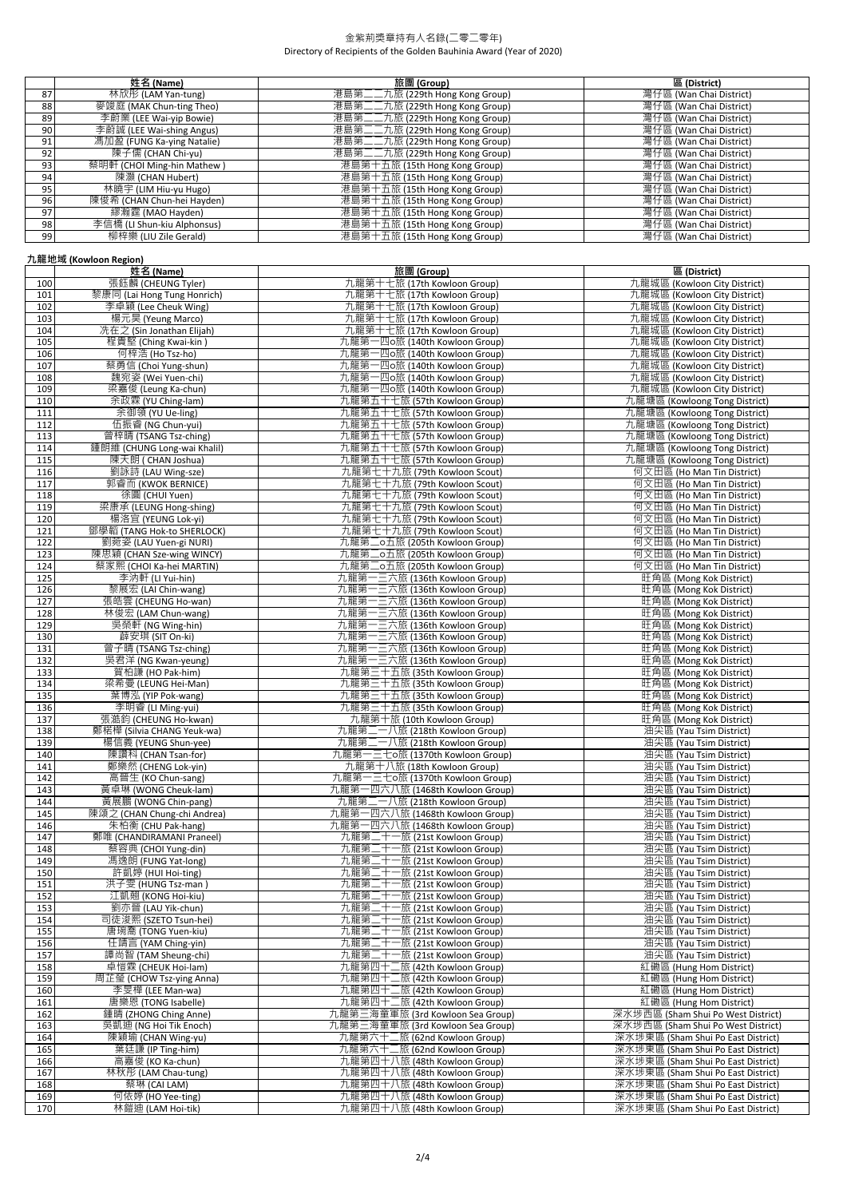|                 | 姓名 (Name)                   | 旅團 (Group)                      | 區 (District)            |
|-----------------|-----------------------------|---------------------------------|-------------------------|
| 87              | 林欣彤 (LAM Yan-tung)          | 港島第二二九旅 (229th Hong Kong Group) | 灣仔區 (Wan Chai District) |
| 88              | 麥竣庭 (MAK Chun-ting Theo)    | 港島第二二九旅 (229th Hong Kong Group) | 灣仔區 (Wan Chai District) |
| 89              | 李蔚業 (LEE Wai-yip Bowie)     | 港島第二二九旅 (229th Hong Kong Group) | 灣仔區 (Wan Chai District) |
| 90 <sub>1</sub> | 李蔚誠 (LEE Wai-shing Angus)   | 港島第二二九旅 (229th Hong Kong Group) | 灣仔區 (Wan Chai District) |
| 91              | 馮加盈 (FUNG Ka-ying Natalie)  | 港島第二二九旅 (229th Hong Kong Group) | 灣仔區 (Wan Chai District) |
| 92              | 陳子儒 (CHAN Chi-yu)           | 港島第二二九旅 (229th Hong Kong Group) | 灣仔區 (Wan Chai District) |
| 93              | 蔡明軒 (CHOI Ming-hin Mathew)  | 港島第十五旅 (15th Hong Kong Group)   | 灣仔區 (Wan Chai District) |
| 94              | 陳灝 (CHAN Hubert)            | 港島第十五旅 (15th Hong Kong Group)   | 灣仔區 (Wan Chai District) |
| 95              | 林曉宇 (LIM Hiu-yu Hugo)       | 港島第十五旅 (15th Hong Kong Group)   | 灣仔區 (Wan Chai District) |
| 96              | 陳俊希 (CHAN Chun-hei Hayden)  | 港島第十五旅 (15th Hong Kong Group)   | 灣仔區 (Wan Chai District) |
| 97              | 繆瀚霆 (MAO Hayden)            | 港島第十五旅 (15th Hong Kong Group)   | 灣仔區 (Wan Chai District) |
| 98              | 李信橋 (LI Shun-kiu Alphonsus) | 港島第十五旅 (15th Hong Kong Group)   | 灣仔區 (Wan Chai District) |
| 99              | 柳梓樂 (LIU Zile Gerald)       | 港島第十五旅 (15th Hong Kong Group)   | 灣仔區 (Wan Chai District) |

### **九龍地域 (Kowloon Region)**

|     | 姓名 (Name)                   | 旅團 (Group)                         | 區 (District)                       |
|-----|-----------------------------|------------------------------------|------------------------------------|
| 100 | 張鈺麟 (CHEUNG Tyler)          | 九龍第十七旅 (17th Kowloon Group)        | 九龍城區 (Kowloon City District)       |
| 101 | 黎康同 (Lai Hong Tung Honrich) | 九龍第十七旅 (17th Kowloon Group)        | 九龍城區 (Kowloon City District)       |
| 102 | 李卓穎 (Lee Cheuk Wing)        | 九龍第十七旅 (17th Kowloon Group)        | 九龍城區 (Kowloon City District)       |
| 103 | 楊元昊 (Yeung Marco)           | 九龍第十七旅 (17th Kowloon Group)        | 九龍城區 (Kowloon City District)       |
|     |                             |                                    |                                    |
| 104 | 冼在之 (Sin Jonathan Elijah)   | 九龍第十七旅 (17th Kowloon Group)        | 九龍城區 (Kowloon City District)       |
| 105 | 程貴堅 (Ching Kwai-kin)        | 九龍第一四o旅 (140th Kowloon Group)      | 九龍城區 (Kowloon City District)       |
| 106 | 何梓浩 (Ho Tsz-ho)             | 九龍第一四o旅 (140th Kowloon Group)      | 九龍城區 (Kowloon City District)       |
| 107 | 蔡勇信 (Choi Yung-shun)        | 九龍第一四o旅 (140th Kowloon Group)      | 九龍城區 (Kowloon City District)       |
| 108 | 魏宛姿 (Wei Yuen-chi)          | 九龍第一四o旅 (140th Kowloon Group)      | 九龍城區 (Kowloon City District)       |
| 109 | 梁嘉俊 (Leung Ka-chun)         | 九龍第一四o旅 (140th Kowloon Group)      | 九龍城區 (Kowloon City District)       |
| 110 | 余政霖 (YU Ching-lam)          | 九龍第五十七旅 (57th Kowloon Group)       | 九龍塘區 (Kowloong Tong District)      |
| 111 | 余御領 (YU Ue-ling)            | 九龍第五十七旅 (57th Kowloon Group)       | 九龍塘區 (Kowloong Tong District)      |
| 112 | 伍振睿 (NG Chun-yui)           | 九龍第五十七旅 (57th Kowloon Group)       | 九龍塘區 (Kowloong Tong District)      |
| 113 | 曾梓晴 (TSANG Tsz-ching)       | 九龍第五十七旅 (57th Kowloon Group)       | 九龍塘區 (Kowloong Tong District)      |
|     |                             |                                    |                                    |
| 114 | 鍾朗維 (CHUNG Long-wai Khalil) | 九龍第五十七旅 (57th Kowloon Group)       | 九龍塘區 (Kowloong Tong District)      |
| 115 | 陳天朗 ( CHAN Joshua)          | 九龍第五十七旅 (57th Kowloon Group)       | 九龍塘區 (Kowloong Tong District)      |
| 116 | 劉詠詩 (LAU Wing-sze)          | 九龍第七十九旅 (79th Kowloon Scout)       | 何文田區 (Ho Man Tin District)         |
| 117 | 郭睿而 (KWOK BERNICE)          | 九龍第七十九旅 (79th Kowloon Scout)       | 何文田區 (Ho Man Tin District)         |
| 118 | 徐圓 (CHUI Yuen)              | 九龍第七十九旅 (79th Kowloon Scout)       | 何文田區 (Ho Man Tin District)         |
| 119 | 梁康承 (LEUNG Hong-shing)      | 九龍第七十九旅 (79th Kowloon Scout)       | 何文田區 (Ho Man Tin District)         |
| 120 | 楊洛宜 (YEUNG Lok-yi)          | 九龍第七十九旅 (79th Kowloon Scout)       | 何文田區 (Ho Man Tin District)         |
| 121 | 鄧學韜 (TANG Hok-to SHERLOCK)  | 九龍第七十九旅 (79th Kowloon Scout)       | 何文田區 (Ho Man Tin District)         |
| 122 | 劉菀姿 (LAU Yuen-gi NURI)      | 九龍第二o五旅 (205th Kowloon Group)      | 何文田區 (Ho Man Tin District)         |
| 123 | 陳思穎 (CHAN Sze-wing WINCY)   | 九龍第二o五旅 (205th Kowloon Group)      | 何文田區 (Ho Man Tin District)         |
| 124 | 蔡家熙 (CHOI Ka-hei MARTIN)    | 九龍第二o五旅 (205th Kowloon Group)      | 何文田區 (Ho Man Tin District)         |
| 125 | 李汭軒 (LI Yui-hin)            | 九龍第一三六旅 (136th Kowloon Group)      | 旺角區 (Mong Kok District)            |
| 126 | 黎展宏 (LAI Chin-wang)         | 九龍第一三六旅 (136th Kowloon Group)      | 旺角區 (Mong Kok District)            |
|     |                             |                                    |                                    |
| 127 | 張皓雲 (CHEUNG Ho-wan)         | 九龍第一三六旅 (136th Kowloon Group)      | 旺角區 (Mong Kok District)            |
| 128 | 林俊宏 (LAM Chun-wang)         | 九龍第一三六旅 (136th Kowloon Group)      | 旺角區 (Mong Kok District)            |
| 129 | 吳榮軒 (NG Wing-hin)           | 九龍第一三六旅 (136th Kowloon Group)      | 旺角區 (Mong Kok District)            |
| 130 | 薜安琪 (SIT On-ki)             | -三六旅 (136th Kowloon Group)<br>九龍第  | 旺角區 (Mong Kok District)            |
| 131 | 曾子晴 (TSANG Tsz-ching)       | 九龍第·<br>−三六旅 (136th Kowloon Group) | 旺角區 (Mong Kok District)            |
| 132 | 吳君洋 (NG Kwan-yeung)         | 九龍第一三六旅 (136th Kowloon Group)      | 旺角區 (Mong Kok District)            |
| 133 | 賀柏謙 (HO Pak-him)            | 九龍第三十五旅 (35th Kowloon Group)       | 旺角區 (Mong Kok District)            |
| 134 | 梁希曼 (LEUNG Hei-Man)         | 九龍第三十五旅 (35th Kowloon Group)       | 旺角區 (Mong Kok District)            |
| 135 | 葉博泓 (YIP Pok-wang)          | 九龍第三十五旅 (35th Kowloon Group)       | 旺角區 (Mong Kok District)            |
| 136 | 李明睿 (LI Ming-yui)           | 九龍第三十五旅 (35th Kowloon Group)       | 旺角區 (Mong Kok District)            |
| 137 | 張澔鈞 (CHEUNG Ho-kwan)        | 九龍第十旅 (10th Kowloon Group)         | 旺角區 (Mong Kok District)            |
| 138 | 鄭楉樺 (Silvia CHANG Yeuk-wa)  | 九龍第二一八旅 (218th Kowloon Group)      | 油尖區 (Yau Tsim District)            |
| 139 | 楊信義 (YEUNG Shun-yee)        | 九龍第二一八旅 (218th Kowloon Group)      | 油尖區 (Yau Tsim District)            |
| 140 | 陳讚科 (CHAN Tsan-for)         | 九龍第一三七o旅 (1370th Kowloon Group)    | 油尖區 (Yau Tsim District)            |
| 141 | 鄭樂然 (CHENG Lok-yin)         | 九龍第十八旅 (18th Kowloon Group)        | 油尖區 (Yau Tsim District)            |
| 142 | 高晉生 (KO Chun-sang)          | 九龍第一三七o旅 (1370th Kowloon Group)    | 油尖區 (Yau Tsim District)            |
| 143 | 黃卓琳 (WONG Cheuk-lam)        | 九龍第一四六八旅 (1468th Kowloon Group)    | 油尖區 (Yau Tsim District)            |
| 144 | 黃展鵬 (WONG Chin-pang)        | 九龍第二一八旅 (218th Kowloon Group)      | 油尖區 (Yau Tsim District)            |
| 145 | 陳頌之 (CHAN Chung-chi Andrea) | 九龍第一四六八旅 (1468th Kowloon Group)    | 油尖區 (Yau Tsim District)            |
| 146 | 朱柏衡 (CHU Pak-hang)          | 九龍第一四六八旅 (1468th Kowloon Group)    | 油尖區 (Yau Tsim District)            |
| 147 | 鄭唯 (CHANDIRAMANI Praneel)   | 九龍第二十一旅 (21st Kowloon Group)       | 油尖區 (Yau Tsim District)            |
| 148 | 蔡容典 (CHOI Yung-din)         | 九龍第二十一旅 (21st Kowloon Group)       | 油尖區 (Yau Tsim District)            |
| 149 | 馮逸朗 (FUNG Yat-long)         | 九龍第二十一旅 (21st Kowloon Group)       | 油尖區 (Yau Tsim District)            |
| 150 | 許凱婷 (HUI Hoi-ting)          | 九龍第二十一旅 (21st Kowloon Group)       |                                    |
|     | 洪子雯 (HUNG Tsz-man )         |                                    | 油尖區 (Yau Tsim District)            |
| 151 |                             | 九龍第二十一旅 (21st Kowloon Group)       | 油尖區 (Yau Tsim District)            |
| 152 | 江凱翹 (KONG Hoi-kiu)          | 九龍第二十一旅 (21st Kowloon Group)       | 油尖區 (Yau Tsim District)            |
| 153 | 劉亦旹 (LAU Yik-chun)          | 九龍第二十一旅 (21st Kowloon Group)       | 沺尖區 (Yau Tsim District)            |
| 154 | 司徒浚熙 (SZETO Tsun-hei)       | 九龍第二十一旅 (21st Kowloon Group)       | 油尖區 (Yau Tsim District)            |
| 155 | 唐琬喬 (TONG Yuen-kiu)         | 九龍第二十一旅 (21st Kowloon Group)       | 油尖區 (Yau Tsim District)            |
| 156 | 任靖言 (YAM Ching-yin)         | 九龍第二十一旅 (21st Kowloon Group)       | 油尖區 (Yau Tsim District)            |
| 157 | 譚尚智 (TAM Sheung-chi)        | 九龍第二十一旅 (21st Kowloon Group)       | 油尖區 (Yau Tsim District)            |
| 158 | 卓愷霖 (CHEUK Hoi-lam)         | 九龍第四十二旅 (42th Kowloon Group)       | 紅磡區 (Hung Hom District)            |
| 159 | 周芷瑩 (CHOW Tsz-ying Anna)    | 九龍第四十二旅 (42th Kowloon Group)       | 紅磡區 (Hung Hom District)            |
| 160 | 李旻樺 (LEE Man-wa)            | 九龍第四十二旅 (42th Kowloon Group)       | 紅磡區 (Hung Hom District)            |
| 161 | 唐樂恩 (TONG Isabelle)         | 九龍第四十二旅 (42th Kowloon Group)       | 紅磡區 (Hung Hom District)            |
| 162 | 鍾晴 (ZHONG Ching Anne)       | 九龍第三海童軍旅 (3rd Kowloon Sea Group)   | 深水埗西區 (Sham Shui Po West District) |
| 163 | 吳凱迪 (NG Hoi Tik Enoch)      | 九龍第三海童軍旅 (3rd Kowloon Sea Group)   | 深水埗西區 (Sham Shui Po West District) |
| 164 | 陳穎瑜 (CHAN Wing-yu)          | 九龍第六十二旅 (62nd Kowloon Group)       | 深水埗東區 (Sham Shui Po East District) |
| 165 | 葉廷謙 (IP Ting-him)           | 九龍第六十二旅 (62nd Kowloon Group)       | 深水埗東區 (Sham Shui Po East District) |
| 166 | 高嘉俊 (KO Ka-chun)            | 九龍第四十八旅 (48th Kowloon Group)       | 深水埗東區 (Sham Shui Po East District) |
| 167 | 林秋彤 (LAM Chau-tung)         | 九龍第四十八旅 (48th Kowloon Group)       | 深水埗東區 (Sham Shui Po East District) |
| 168 | 蔡琳 (CAI LAM)                | 九龍第四十八旅 (48th Kowloon Group)       | 深水埗東區 (Sham Shui Po East District) |
| 169 | 何依婷 (HO Yee-ting)           | 九龍第四十八旅 (48th Kowloon Group)       | 深水埗東區 (Sham Shui Po East District) |
| 170 | 林鎧迪 (LAM Hoi-tik)           | 九龍第四十八旅 (48th Kowloon Group)       | 深水埗東區 (Sham Shui Po East District) |
|     |                             |                                    |                                    |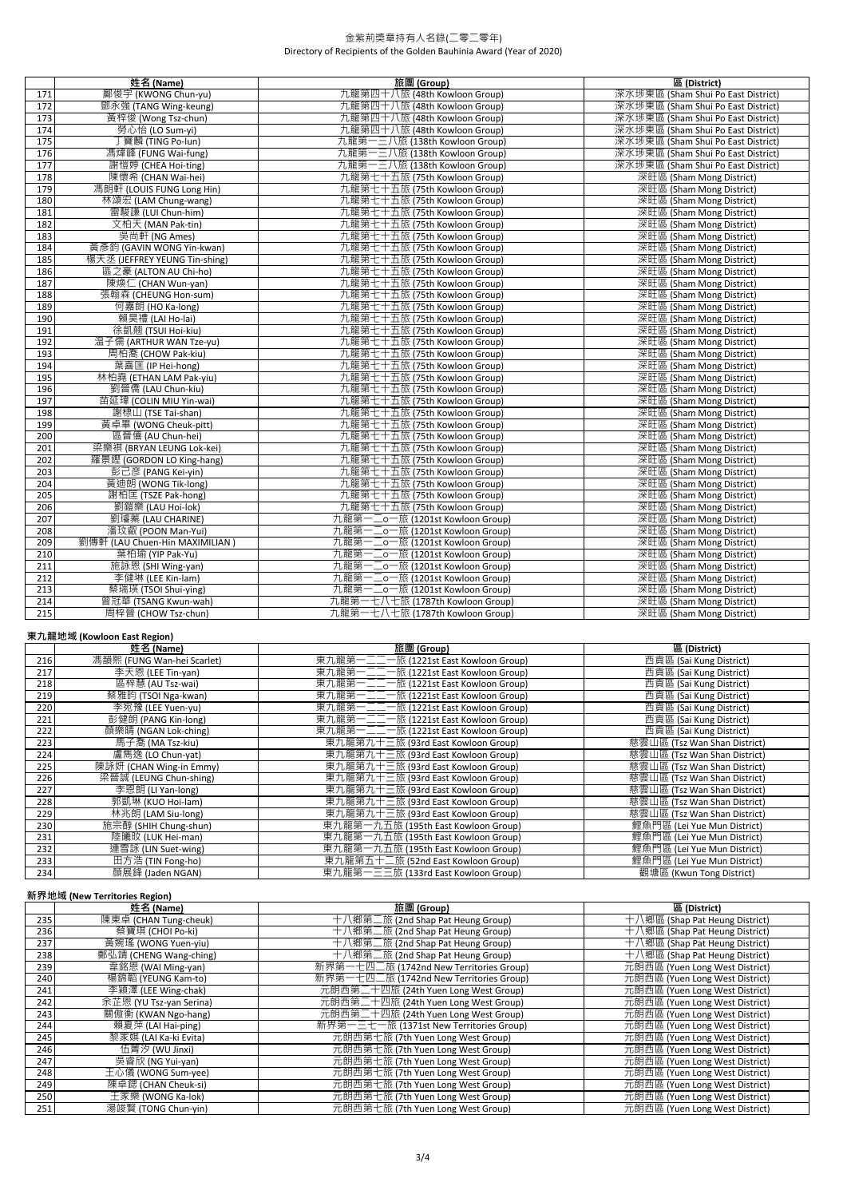|     | 姓名 (Name)                      | 旅團 (Group)                      | 區 (District)                       |
|-----|--------------------------------|---------------------------------|------------------------------------|
| 171 | 鄺俊宇 (KWONG Chun-yu)            | 九龍第四十八旅 (48th Kowloon Group)    | 深水埗東區 (Sham Shui Po East District) |
| 172 | 鄧永強 (TANG Wing-keung)          | 九龍第四十八旅 (48th Kowloon Group)    | 深水埗東區 (Sham Shui Po East District) |
| 173 | 黃梓俊 (Wong Tsz-chun)            | 九龍第四十八旅 (48th Kowloon Group)    | 深水埗東區 (Sham Shui Po East District) |
| 174 | 勞心怡 (LO Sum-yi)                | 九龍第四十八旅 (48th Kowloon Group)    | 深水埗東區 (Sham Shui Po East District) |
| 175 | 丁寶麟 (TING Po-lun)              | 九龍第一三八旅 (138th Kowloon Group)   | 深水埗東區 (Sham Shui Po East District) |
| 176 | 馮煒峰 (FUNG Wai-fung)            | 九龍第一三八旅 (138th Kowloon Group)   | 深水埗東區 (Sham Shui Po East District) |
| 177 | 謝愷婷 (CHEA Hoi-ting)            | 九龍第一三八旅 (138th Kowloon Group)   | 深水埗東區 (Sham Shui Po East District) |
| 178 | 陳懷希 (CHAN Wai-hei)             | 九龍第七十五旅 (75th Kowloon Group)    | 深旺區 (Sham Mong District)           |
| 179 | 馮朗軒 (LOUIS FUNG Long Hin)      | 九龍第七十五旅 (75th Kowloon Group)    | 深旺區 (Sham Mong District)           |
| 180 | 林頌宏 (LAM Chung-wang)           | 九龍第七十五旅 (75th Kowloon Group)    | 深旺區 (Sham Mong District)           |
| 181 | 雷駿謙 (LUI Chun-him)             | 九龍第七十五旅 (75th Kowloon Group)    | 深旺區 (Sham Mong District)           |
| 182 | 文柏天 (MAN Pak-tin)              | 九龍第七十五旅 (75th Kowloon Group)    | 深旺區 (Sham Mong District)           |
| 183 | 吳尚軒 (NG Ames)                  | 九龍第七十五旅 (75th Kowloon Group)    | 深旺區 (Sham Mong District)           |
| 184 | 黃彥鈞 (GAVIN WONG Yin-kwan)      | 九龍第七十五旅 (75th Kowloon Group)    | 深旺區 (Sham Mong District)           |
| 185 | 楊天丞 (JEFFREY YEUNG Tin-shing)  | 九龍第七十五旅 (75th Kowloon Group)    | 深旺區 (Sham Mong District)           |
| 186 | 區之豪 (ALTON AU Chi-ho)          | 九龍第七十五旅 (75th Kowloon Group)    | 深旺區 (Sham Mong District)           |
| 187 | 陳煥仁 (CHAN Wun-yan)             | 九龍第七十五旅 (75th Kowloon Group)    | 深旺區 (Sham Mong District)           |
| 188 | 張翰森 (CHEUNG Hon-sum)           | 九龍第七十五旅 (75th Kowloon Group)    | 深旺區 (Sham Mong District)           |
| 189 | 何嘉朗 (HO Ka-long)               | 九龍第七十五旅 (75th Kowloon Group)    | 深旺區 (Sham Mong District)           |
| 190 | 賴昊禮 (LAI Ho-lai)               | 九龍第七十五旅 (75th Kowloon Group)    | 深旺區 (Sham Mong District)           |
| 191 | 徐凱翹 (TSUI Hoi-kiu)             | 九龍第七十五旅 (75th Kowloon Group)    | 深旺區 (Sham Mong District)           |
| 192 | 温子儒 (ARTHUR WAN Tze-yu)        | 九龍第七十五旅 (75th Kowloon Group)    | 深旺區 (Sham Mong District)           |
| 193 | 周柏喬 (CHOW Pak-kiu)             | 九龍第七十五旅 (75th Kowloon Group)    | 深旺區 (Sham Mong District)           |
| 194 | 葉喜匡 (IP Hei-hong)              | 九龍第七十五旅 (75th Kowloon Group)    | 深旺區 (Sham Mong District)           |
| 195 | 林柏堯 (ETHAN LAM Pak-yiu)        | 九龍第七十五旅 (75th Kowloon Group)    | 深旺區 (Sham Mong District)           |
| 196 | 劉晉僑 (LAU Chun-kiu)             | 九龍第七十五旅 (75th Kowloon Group)    | 深旺區 (Sham Mong District)           |
| 197 | 苗延瑋 (COLIN MIU Yin-wai)        | 九龍第七十五旅 (75th Kowloon Group)    | 深旺區 (Sham Mong District)           |
| 198 | 謝棣山 (TSE Tai-shan)             | 九龍第七十五旅 (75th Kowloon Group)    | 深旺區 (Sham Mong District)           |
| 199 | 黃卓畢 (WONG Cheuk-pitt)          | 九龍第七十五旅 (75th Kowloon Group)    | 深旺區 (Sham Mong District)           |
| 200 | 區晉僖 (AU Chun-hei)              | 九龍第七十五旅 (75th Kowloon Group)    | 深旺區 (Sham Mong District)           |
| 201 | 梁樂祺 (BRYAN LEUNG Lok-kei)      | 九龍第七十五旅 (75th Kowloon Group)    | 深旺區 (Sham Mong District)           |
| 202 | 羅景鏗 (GORDON LO King-hang)      | 九龍第七十五旅 (75th Kowloon Group)    | 深旺區 (Sham Mong District)           |
| 203 | 彭己彦 (PANG Kei-yin)             | 九龍第七十五旅 (75th Kowloon Group)    | 深旺區 (Sham Mong District)           |
| 204 | 黃迪朗 (WONG Tik-long)            | 九龍第七十五旅 (75th Kowloon Group)    | 深旺區 (Sham Mong District)           |
| 205 | 謝柏匡 (TSZE Pak-hong)            | 九龍第七十五旅 (75th Kowloon Group)    | 深旺區 (Sham Mong District)           |
| 206 | 劉鎧樂 (LAU Hoi-lok)              | 九龍第七十五旅 (75th Kowloon Group)    | 深旺區 (Sham Mong District)           |
| 207 | 劉璿蓁 (LAU CHARINE)              | 九龍第一二o一旅 (1201st Kowloon Group) | 深旺區 (Sham Mong District)           |
| 208 | 潘玟叡 (POON Man-Yui)             | 九龍第一二o一旅 (1201st Kowloon Group) | 深旺區 (Sham Mong District)           |
| 209 | 劉傳軒 (LAU Chuen-Hin MAXIMILIAN) | 九龍第一二o一旅 (1201st Kowloon Group) | 深旺區 (Sham Mong District)           |
| 210 | 葉柏瑜 (YIP Pak-Yu)               | 九龍第一二o一旅 (1201st Kowloon Group) | 深旺區 (Sham Mong District)           |
| 211 | 施詠恩 (SHI Wing-yan)             | 九龍第一二o一旅 (1201st Kowloon Group) | 深旺區 (Sham Mong District)           |
| 212 | 李健琳 (LEE Kin-lam)              | 九龍第一二o一旅 (1201st Kowloon Group) | 深旺區 (Sham Mong District)           |
| 213 | 蔡瑞瑛 (TSOI Shui-ying)           | 九龍第一二o一旅 (1201st Kowloon Group) | 深旺區 (Sham Mong District)           |
| 214 | 曾冠華 (TSANG Kwun-wah)           | 九龍第一七八七旅 (1787th Kowloon Group) | 深旺區 (Sham Mong District)           |
| 215 | 周梓晉 (CHOW Tsz-chun)            | 九龍第一七八七旅 (1787th Kowloon Group) | 深旺區 (Sham Mong District)           |

# **東九龍地域 (Kowloon East Region)**

|     | 姓名 (Name)                  | 旅團 (Group)                            | 區 (District)                 |
|-----|----------------------------|---------------------------------------|------------------------------|
| 216 | 馮韻熙 (FUNG Wan-hei Scarlet) | 東九龍第一二二一旅 (1221st East Kowloon Group) | 西貢區 (Sai Kung District)      |
| 217 | 李天恩 (LEE Tin-yan)          | 東九龍第一二二一旅 (1221st East Kowloon Group) | 西貢區 (Sai Kung District)      |
| 218 | 區梓慧 (AU Tsz-wai)           | 東九龍第一二二一旅 (1221st East Kowloon Group) | 西貢區 (Sai Kung District)      |
| 219 | 蔡雅昀 (TSOI Nga-kwan)        | 東九龍第一二二一旅 (1221st East Kowloon Group) | 西貢區 (Sai Kung District)      |
| 220 | 李宛豫 (LEE Yuen-yu)          | 東九龍第一二二一旅 (1221st East Kowloon Group) | 西貢區 (Sai Kung District)      |
| 221 | 彭健朗 (PANG Kin-long)        | 東九龍第一二二一旅 (1221st East Kowloon Group) | 西貢區 (Sai Kung District)      |
| 222 | 顏樂晴 (NGAN Lok-ching)       | 東九龍第一二二一旅 (1221st East Kowloon Group) | 西貢區 (Sai Kung District)      |
| 223 | 馬子喬 (MA Tsz-kiu)           | 東九龍第九十三旅 (93rd East Kowloon Group)    | 蒸雲山區 (Tsz Wan Shan District) |
| 224 | 盧雋逸 (LO Chun-yat)          | 東九龍第九十三旅 (93rd East Kowloon Group)    | 慈雲山區 (Tsz Wan Shan District) |
| 225 | 陳詠妍 (CHAN Wing-in Emmy)    | 東九龍第九十三旅 (93rd East Kowloon Group)    | 慈雲山區 (Tsz Wan Shan District) |
| 226 | 梁晉誠 (LEUNG Chun-shing)     | 東九龍第九十三旅 (93rd East Kowloon Group)    | 慈雲山區 (Tsz Wan Shan District) |
| 227 | 李恩朗 (Li Yan-long)          | 東九龍第九十三旅 (93rd East Kowloon Group)    | 慈雲山區 (Tsz Wan Shan District) |
| 228 | 郭凱琳 (KUO Hoi-lam)          | 東九龍第九十三旅 (93rd East Kowloon Group)    | 慈雲山區 (Tsz Wan Shan District) |
| 229 | 林兆朗 (LAM Siu-long)         | 東九龍第九十三旅 (93rd East Kowloon Group)    | 慈雲山區 (Tsz Wan Shan District) |
| 230 | 施宗醇 (SHIH Chung-shun)      | 東九龍第一九五旅 (195th East Kowloon Group)   | 鯉魚門區 (Lei Yue Mun District)  |
| 231 | 陸曦旼 (LUK Hei-man)          | 東九龍第一九五旅 (195th East Kowloon Group)   | 鯉魚門區 (Lei Yue Mun District)  |
| 232 | 連雪詠 (LIN Suet-wing)        | 東九龍第一九五旅 (195th East Kowloon Group)   | 鯉魚門區 (Lei Yue Mun District)  |
| 233 | 田方浩 (TIN Fong-ho)          | 東九龍第五十二旅 (52nd East Kowloon Group)    | 鯉魚門區 (Lei Yue Mun District)  |
| 234 | 顏展鋒 (Jaden NGAN)           | 東九龍第一三三旅 (133rd East Kowloon Group)   | 觀塘區 (Kwun Tong District)     |

## **新界地域 (New Territories Region)**

|     | 姓名 (Name)               | 旅團 (Group)                              | 區 (District)                   |
|-----|-------------------------|-----------------------------------------|--------------------------------|
| 235 | 陳東卓 (CHAN Tung-cheuk)   | 十八鄉第二旅 (2nd Shap Pat Heung Group)       | 十八鄉區 (Shap Pat Heung District) |
| 236 | 蔡寶琪 (CHOI Po-ki)        | 十八鄉第二旅 (2nd Shap Pat Heung Group)       | 十八鄉區 (Shap Pat Heung District) |
| 237 | 黃婉瑤 (WONG Yuen-yiu)     | 十八鄉第二旅 (2nd Shap Pat Heung Group)       | 十八鄉區 (Shap Pat Heung District) |
| 238 | 鄭弘靖 (CHENG Wang-ching)  | 十八鄉第二旅 (2nd Shap Pat Heung Group)       | 十八鄉區 (Shap Pat Heung District) |
| 239 | 韋銘恩 (WAI Ming-yan)      | 新界第一七四二旅 (1742nd New Territories Group) | 元朗西區 (Yuen Long West District) |
| 240 | 楊錦韜 (YEUNG Kam-to)      | 新界第一七四二旅 (1742nd New Territories Group) | 元朗西區 (Yuen Long West District) |
| 241 | 李穎澤 (LEE Wing-chak)     | 元朗西第二十四旅 (24th Yuen Long West Group)    | 元朗西區 (Yuen Long West District) |
| 242 | 余芷恩 (YU Tsz-yan Serina) | 元朗西第二十四旅 (24th Yuen Long West Group)    | 元朗西區 (Yuen Long West District) |
| 243 | 關傲衡 (KWAN Ngo-hang)     | 元朗西第二十四旅 (24th Yuen Long West Group)    | 元朗西區 (Yuen Long West District) |
| 244 | 賴夏萍 (LAI Hai-ping)      | 新界第一三七一旅 (1371st New Territories Group) | 元朗西區 (Yuen Long West District) |
| 245 | 黎家娸 (LAI Ka-ki Evita)   | 元朗西第七旅 (7th Yuen Long West Group)       | 元朗西區 (Yuen Long West District) |
| 246 | 伍菁汐 (WU Jinxi)          | 元朗西第七旅 (7th Yuen Long West Group)       | 元朗西區 (Yuen Long West District) |
| 247 | 吴睿欣 (NG Yui-yan)        | 元朗西第七旅 (7th Yuen Long West Group)       | 元朗西區 (Yuen Long West District) |
| 248 | 王心儀 (WONG Sum-yee)      | 元朗西第七旅 (7th Yuen Long West Group)       | 元朗西區 (Yuen Long West District) |
| 249 | 陳卓鍶 (CHAN Cheuk-si)     | 元朗西第七旅 (7th Yuen Long West Group)       | 元朗西區 (Yuen Long West District) |
| 250 | 王家樂 (WONG Ka-lok)       | 元朗西第七旅 (7th Yuen Long West Group)       | 元朗西區 (Yuen Long West District) |
| 251 | 湯竣賢 (TONG Chun-yin)     | 元朗西第七旅 (7th Yuen Long West Group)       | 元朗西區 (Yuen Long West District) |